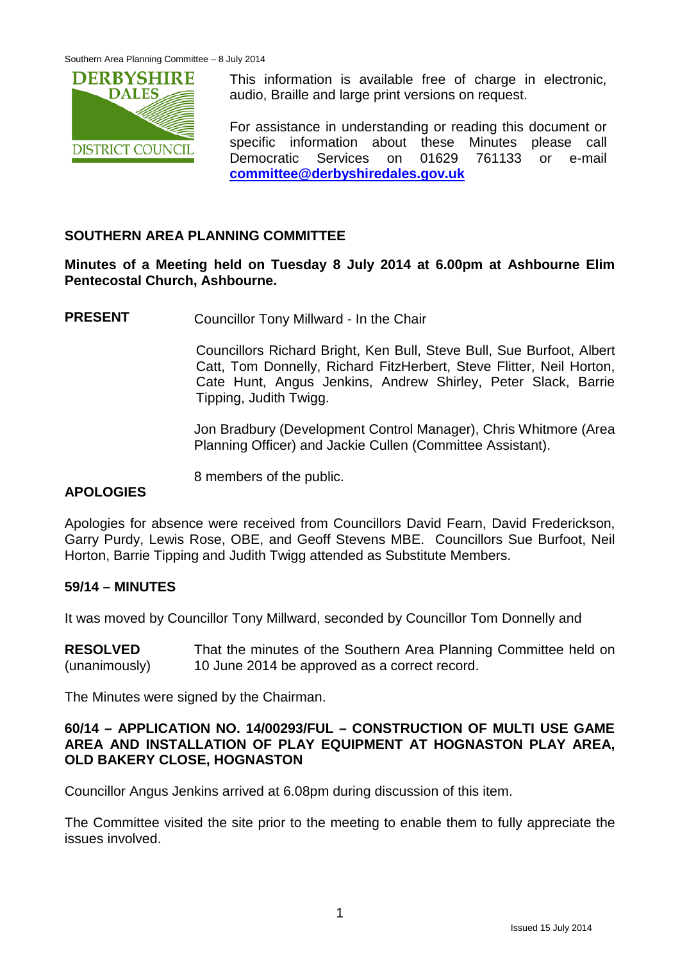

This information is available free of charge in electronic, audio, Braille and large print versions on request.

For assistance in understanding or reading this document or specific information about these Minutes please call Democratic Services on 01629 761133 or e-mail **[committee@derbyshiredales.gov.uk](mailto:committee@derbyshiredales.gov.uk)**

## **SOUTHERN AREA PLANNING COMMITTEE**

**Minutes of a Meeting held on Tuesday 8 July 2014 at 6.00pm at Ashbourne Elim Pentecostal Church, Ashbourne.**

**PRESENT** Councillor Tony Millward - In the Chair

Councillors Richard Bright, Ken Bull, Steve Bull, Sue Burfoot, Albert Catt, Tom Donnelly, Richard FitzHerbert, Steve Flitter, Neil Horton, Cate Hunt, Angus Jenkins, Andrew Shirley, Peter Slack, Barrie Tipping, Judith Twigg.

Jon Bradbury (Development Control Manager), Chris Whitmore (Area Planning Officer) and Jackie Cullen (Committee Assistant).

8 members of the public.

## **APOLOGIES**

Apologies for absence were received from Councillors David Fearn, David Frederickson, Garry Purdy, Lewis Rose, OBE, and Geoff Stevens MBE. Councillors Sue Burfoot, Neil Horton, Barrie Tipping and Judith Twigg attended as Substitute Members.

#### **59/14 – MINUTES**

It was moved by Councillor Tony Millward, seconded by Councillor Tom Donnelly and

**RESOLVED** (unanimously) That the minutes of the Southern Area Planning Committee held on 10 June 2014 be approved as a correct record.

The Minutes were signed by the Chairman.

## **60/14 – APPLICATION NO. 14/00293/FUL – CONSTRUCTION OF MULTI USE GAME AREA AND INSTALLATION OF PLAY EQUIPMENT AT HOGNASTON PLAY AREA, OLD BAKERY CLOSE, HOGNASTON**

Councillor Angus Jenkins arrived at 6.08pm during discussion of this item.

The Committee visited the site prior to the meeting to enable them to fully appreciate the issues involved.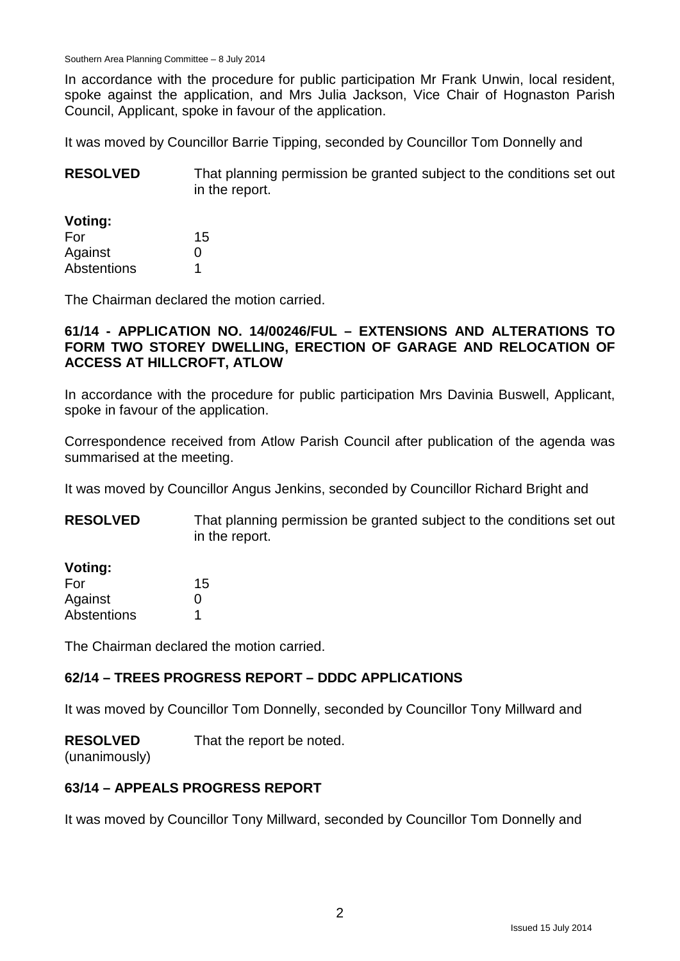Southern Area Planning Committee – 8 July 2014

In accordance with the procedure for public participation Mr Frank Unwin, local resident, spoke against the application, and Mrs Julia Jackson, Vice Chair of Hognaston Parish Council, Applicant, spoke in favour of the application.

It was moved by Councillor Barrie Tipping, seconded by Councillor Tom Donnelly and

| <b>RESOLVED</b> | That planning permission be granted subject to the conditions set out |
|-----------------|-----------------------------------------------------------------------|
|                 | in the report.                                                        |

| Voting:     |    |
|-------------|----|
| For         | 15 |
| Against     | O  |
| Abstentions | 1  |

The Chairman declared the motion carried.

## **61/14 - APPLICATION NO. 14/00246/FUL – EXTENSIONS AND ALTERATIONS TO FORM TWO STOREY DWELLING, ERECTION OF GARAGE AND RELOCATION OF ACCESS AT HILLCROFT, ATLOW**

In accordance with the procedure for public participation Mrs Davinia Buswell, Applicant, spoke in favour of the application.

Correspondence received from Atlow Parish Council after publication of the agenda was summarised at the meeting.

It was moved by Councillor Angus Jenkins, seconded by Councillor Richard Bright and

**RESOLVED** That planning permission be granted subject to the conditions set out in the report.

#### **Voting:**

| For                | 15           |
|--------------------|--------------|
| Against            | $\mathbf{0}$ |
| <b>Abstentions</b> |              |

The Chairman declared the motion carried.

## **62/14 – TREES PROGRESS REPORT – DDDC APPLICATIONS**

It was moved by Councillor Tom Donnelly, seconded by Councillor Tony Millward and

**RESOLVED** That the report be noted.

(unanimously)

## **63/14 – APPEALS PROGRESS REPORT**

It was moved by Councillor Tony Millward, seconded by Councillor Tom Donnelly and